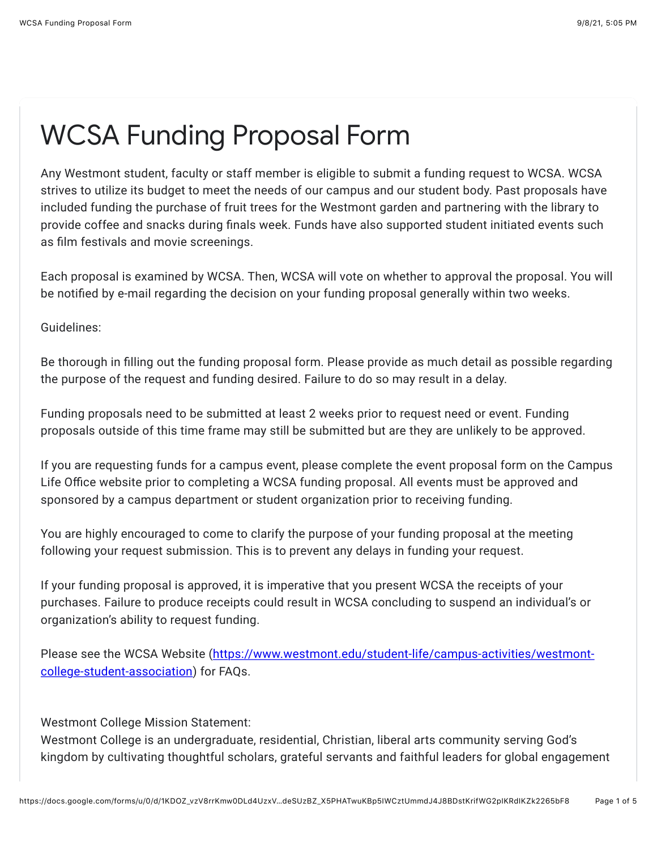## WCSA Funding Proposal Form

Any Westmont student, faculty or staff member is eligible to submit a funding request to WCSA. WCSA strives to utilize its budget to meet the needs of our campus and our student body. Past proposals have included funding the purchase of fruit trees for the Westmont garden and partnering with the library to provide coffee and snacks during finals week. Funds have also supported student initiated events such as film festivals and movie screenings.

Each proposal is examined by WCSA. Then, WCSA will vote on whether to approval the proposal. You will be notified by e-mail regarding the decision on your funding proposal generally within two weeks.

Guidelines:

Be thorough in filling out the funding proposal form. Please provide as much detail as possible regarding the purpose of the request and funding desired. Failure to do so may result in a delay.

Funding proposals need to be submitted at least 2 weeks prior to request need or event. Funding proposals outside of this time frame may still be submitted but are they are unlikely to be approved.

If you are requesting funds for a campus event, please complete the event proposal form on the Campus Life Office website prior to completing a WCSA funding proposal. All events must be approved and sponsored by a campus department or student organization prior to receiving funding.

You are highly encouraged to come to clarify the purpose of your funding proposal at the meeting following your request submission. This is to prevent any delays in funding your request.

If your funding proposal is approved, it is imperative that you present WCSA the receipts of your purchases. Failure to produce receipts could result in WCSA concluding to suspend an individual's or organization's ability to request funding.

[Please see the WCSA Website \(https://www.westmont.edu/student-life/campus-activities/westmont](https://www.google.com/url?q=https://www.westmont.edu/student-life/campus-activities/westmont-college-student-association&sa=D&source=editors&ust=1631149474740000&usg=AFQjCNG6mxrk7IvCBBmVBeySKmIDWKkcjA)college-student-association) for FAQs.

Westmont College Mission Statement:

Westmont College is an undergraduate, residential, Christian, liberal arts community serving God's kingdom by cultivating thoughtful scholars, grateful servants and faithful leaders for global engagement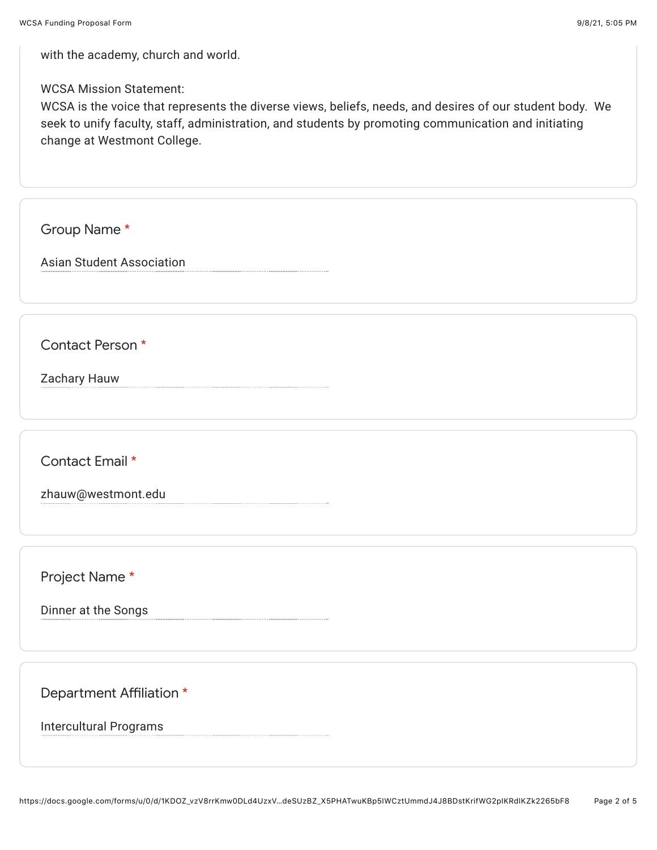with the academy, church and world.

WCSA Mission Statement:

WCSA is the voice that represents the diverse views, beliefs, needs, and desires of our student body. We seek to unify faculty, staff, administration, and students by promoting communication and initiating change at Westmont College.

Group Name \*

Asian Student Association

Contact Person \*

Zachary Hauw

Contact Email \*

zhauw@westmont.edu

Project Name \*

Dinner at the Songs

Department Affiliation \*

Intercultural Programs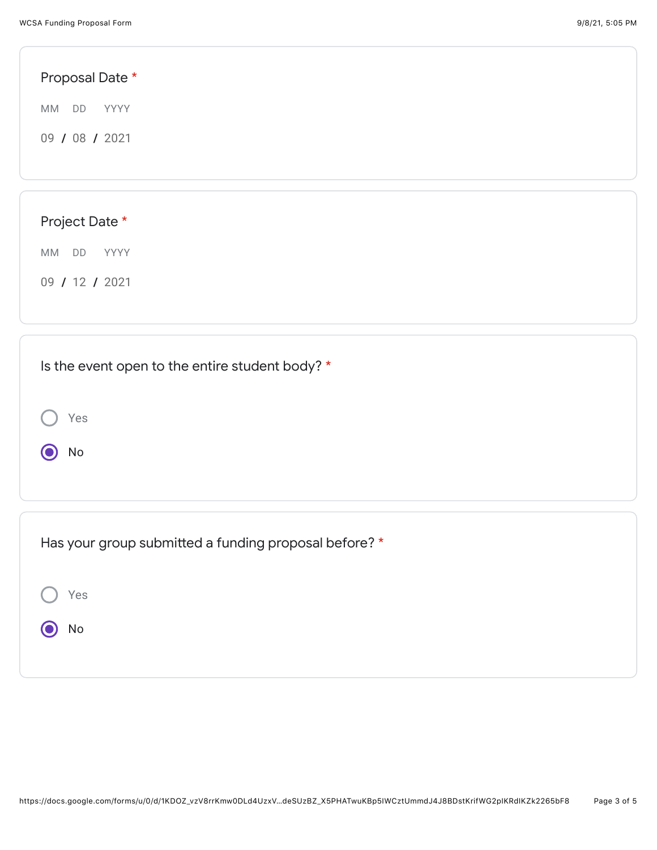| Proposal Date *  |  |  |
|------------------|--|--|
| YYYY<br>MM<br>DD |  |  |
| 09 / 08 / 2021   |  |  |
|                  |  |  |
|                  |  |  |
| Project Date *   |  |  |
| MM DD<br>YYYY    |  |  |
| 09 / 12 / 2021   |  |  |
|                  |  |  |
|                  |  |  |

| Is the event open to the entire student body? *       |  |  |  |  |
|-------------------------------------------------------|--|--|--|--|
| Yes<br>No                                             |  |  |  |  |
|                                                       |  |  |  |  |
| Has your group submitted a funding proposal before? * |  |  |  |  |
| Yes                                                   |  |  |  |  |
| No                                                    |  |  |  |  |
|                                                       |  |  |  |  |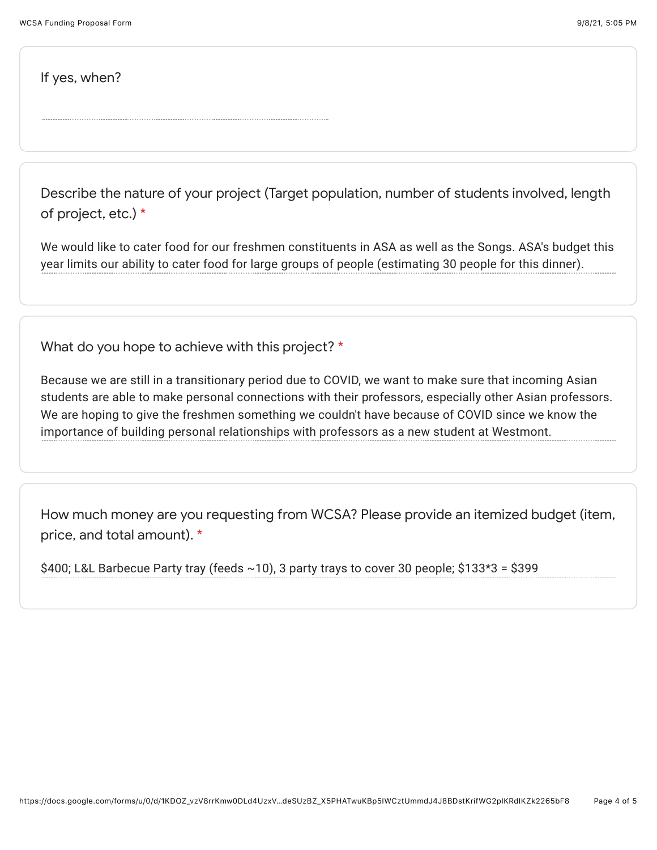If yes, when?

Describe the nature of your project (Target population, number of students involved, length of project, etc.) \*

We would like to cater food for our freshmen constituents in ASA as well as the Songs. ASA's budget this year limits our ability to cater food for large groups of people (estimating 30 people for this dinner).

What do you hope to achieve with this project? \*

Because we are still in a transitionary period due to COVID, we want to make sure that incoming Asian students are able to make personal connections with their professors, especially other Asian professors. We are hoping to give the freshmen something we couldn't have because of COVID since we know the importance of building personal relationships with professors as a new student at Westmont.

How much money are you requesting from WCSA? Please provide an itemized budget (item, price, and total amount). \*

\$400; L&L Barbecue Party tray (feeds  $\sim$ 10), 3 party trays to cover 30 people; \$133\*3 = \$399